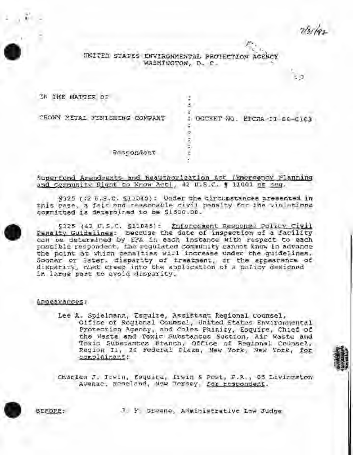# UNITED STATES ENVIRONMENTAL PROTECTION AGENCY WASHINGTON, D. C.

s.

×, ž,

ï

εa

TH THE MATTER OF

CROWN METAL FINISHING CONFANT

: DOCKET NO. EPCRA-II-86-0103

Respondent

## Superfund Amendments and Reauthorization Act (Emergency Flanning and Community Right to Know Act), 42 D.S.C. 1 11001 et seg.

9325 162 U.S.C. \$11049): Under the circumstances presented in this case, a fair and reasonable civil penalty for the violations committed is determined to be \$1500.00.

§325 (42 U.S.C. §11045): Enforcement Response Policy Civil Penalty Guidelines: Because the date of inspection of a facility dan be determined by EFA in each instance with respect to each possible respondent, the requlated community cannot know in advance the noint as which penalties will increase under the quidelines. Sooner or later, disparity of treatment, or the appearance of<br>disparity, must creep into the application of a policy designed in large past to avoid disparity.

### Appearances:

Lee A. Spielmann, Esquire, Assistant Regional Counsel, Office of Regional Counsel, United States Environmental Protection Agency, and Coles Phinizy, Esquire, Chief of the Waste and Toxic Substances Section, Air Waste And Toxic Substances Branch, Office of Regional Counsel, Region Ii, 26 Federal Plaza, New York, New York, for complainant:

Charles J. Irwin, Esquire, Irwin & Post, P.R., 65 Livingston Avenue, Roseland, New Jersey, for respondent.

EFDRE:

J. Y. Greene, Administrative Law Judge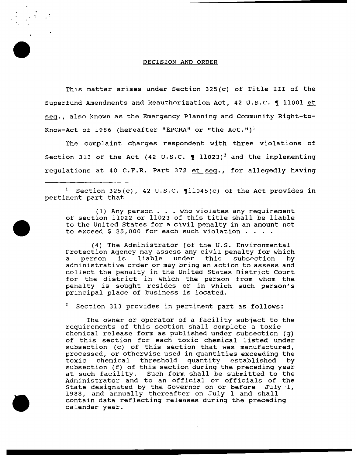#### DECISION AND ORDER

This matter arises under Section 325(c) of Title III of the Superfund Amendments and Reauthorization Act, 42 U.S.C. 1 11001 et seq., also known as the Emergency Planning and Community Right-to-Know-Act of 1986 (hereafter "EPCRA" or "the Act.")<sup>1</sup>

The complaint charges respondent with three violations of Section 313 of the Act (42 U.S.C.  $\P$  11023)<sup>2</sup> and the implementing regulations at 40 C.F.R. Part 372 et seg., for allegedly having

<sup>1</sup> Section 325(c), 42 U.S.C.  $[11045(c)$  of the Act provides in pertinent part that

(1) Any person ... who violates any requirement of section 11022 or 11023 of this title shall be liable of section 11022 or 11023 of this title shall be liable<br>to the United States for a civil penalty in an amount not<br>to exceed \$ 25,000 for each such violation . . . .

(4) The Administrator [of the U.S. Environmental Protection Agency may assess any civil penalty for which a person is liable under this subsection by a person is liable under this subsection by<br>administrative order or may bring an action to assess and collect the penalty in the United States District Court for the district in which the person from whom the penalty is sought resides or in which such person's principal place of business is located.

Section 313 provides in pertinent part as follows:

The owner or operator of a facility subject to the requirements of this section shall complete a toxic chemical release form as published under subsection (g) of this section for each toxic chemical listed under subsection (c) of this section that was manufactured, processed, or otherwise used in quantities exceeding the toxic chemical threshold quantity established by subsection (f) of this section during the preceding year at such facility. Such form shall be submitted to the Administrator and to an official or officials of the State designated by the Governor on or before July 1, 1988, and annually thereafter on July 1 and shall contain data reflecting releases during the preceding calendar year.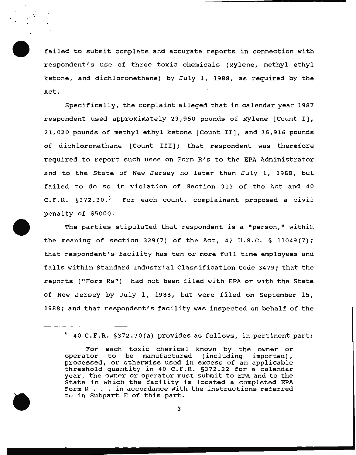failed to submit complete and accurate reports in connection with respondent's use of three toxic chemicals (xylene, methyl ethyl ketone, and dichloromethane) by July 1, 1988, as required by the Act.

Specifically, the complaint alleged that in calendar year 1987 respondent used approximately 23,950 pounds of xylene (Count I], 21,020 pounds of methyl ethyl ketone (Count II], and 36,916 pounds of dichloromethane [Count III]; that respondent was therefore required to report such uses on Form R's to the EPA Administrator and to the state of New Jersey no later than July 1, 1988, but failed to do so in violation of Section 313 of the Act and 40  $C.F.R. S372.30.<sup>3</sup>$  For each count, complainant proposed a civil penalty of \$5000.

The parties stipulated that respondent is a "person," within the meaning of section 329(7) of the Act, 42 U.S.C. § 11049(7); that respondent's facility has ten or more full time employees and falls within Standard Industrial Classification Code 3479; that the reports ("Form Rs") had not been filed with EPA or with the State of New Jersey by July 1, 1988, but were filed on September 15, 1988; and that respondent's facility was inspected on behalf of the

<sup>3 40</sup> C.F.R. §372.30(a) provides as follows, in pertinent part:

For each toxic chemical known by the owner or operator to be manufactured (including imported), be manufactured (including imported), processed, or otherwise used in excess of an applicable threshold quantity in 40 C.F.R. §372.22 for a calendar year, the owner or operator must submit to EPA and to the year, the owner or operator must submit to EPA and to the<br>State in which the facility is located a completed EPA<br>Form R . . . in accordance with the instructions referred<br>to in Subpart E of this part Form  $R$ ... in accordance with the instructions referred<br>to in Subpart E of this part.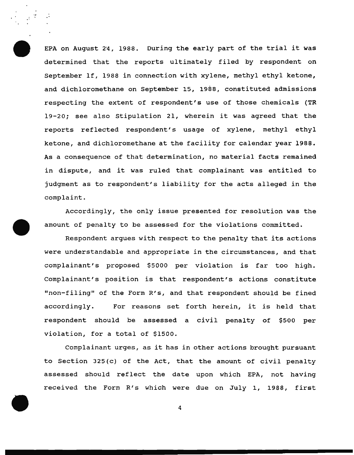EPA on August 24, 1988. During the early part of the trial it was determined that the reports ultimately filed by respondent on September lf, 1988 in connection with xylene, methyl ethyl ketone, and dichloromethane on September 15, 1988, constituted admissions respecting the extent of respondent's use of those chemicals (TR 19-20; see also Stipulation 21, wherein it was agreed that the reports reflected respondent's usage of xylene, methyl ethyl ketone, and dichloromethane at the facility for calendar year 1988. As a consequence of that determination, no material facts remained in dispute, and it was ruled that complainant was entitled to judgment as to respondent's liability for the acts alleged in the complaint.

÷.

Accordingly, the only issue presented for resolution was the amount of penalty to be assessed for the violations committed.

Respondent argues with respect to the penalty that its actions were understandable and appropriate in the circumstances, and that complainant's proposed \$5000 per violation is far too high. Complainant's position is that respondent's actions constitute "non-filing" of the Form R's, and that respondent should be fined accordingly. For reasons set forth herein, it is held that respondent should be assessed a civil penalty of \$500 per violation, for a total of \$1500.

Complainant urges, as it has in other actions brought pursuant to Section 325(c) of the Act, that the amount of civil penalty assessed should reflect the date upon which EPA, not having received the Form R's which were due on July 1, 1988, first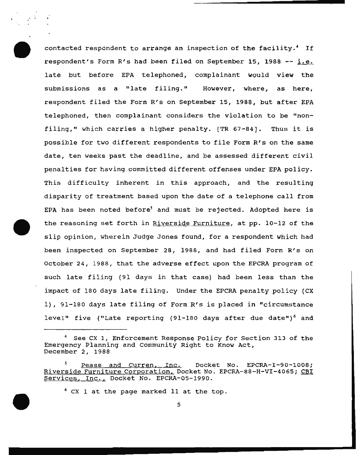contacted respondent to arrange an inspection of the facility.<sup>4</sup> If respondent's Form R's had been filed on September 15, 1988  $-$  i.e. late but before EPA telephoned, complainant would view the submissions as a "late filing." However, where, as here, respondent filed the Form R's on September 15, 1988, but after EPA telephoned, then complainant considers the violation to be "nonfiling," which carries a higher penalty. [TR 67-84]. Thus it is possible for two different respondents to file Form R's on the same date, ten weeks past the deadline, and be assessed different civil penalties for having committed different offenses under EPA policy. This difficulty inherent in this approach, and the resulting disparity of treatment based upon the date of a telephone call from EPA has been noted before<sup>5</sup> and must be rejected. Adopted here is the reasoning set forth in Riverside Furniture, at pp. 10-12 of the slip opinion, wherein Judge Jones found, for a respondent which had been inspected on September 28, 1988, and had filed Form R's on October 24, 1988, that the adverse effect upon the EPCRA program of such late filing (91 days in that case) had been less than the impact of 180 days late filing. Under the EPCRA penalty policy {CX 1}, 91-180 days late filing of Form R's is placed in "circumstance level" five ("Late reporting (91-180 days after due date")<sup>6</sup> and

See CX 1, Enforcement Response Policy for Section 313 of the Emergency Planning and Community Right to Know Act, December 2, 1988

Pease and Curren, Inc. Docket No. EPCRA-I-90-1008; Riverside Furniture Corporation, Docket No. EPCRA-88-H-VI-4065; CBI Services, Inc., Docket No. EPCRA-05-1990.

 $6$  CX 1 at the page marked 11 at the top.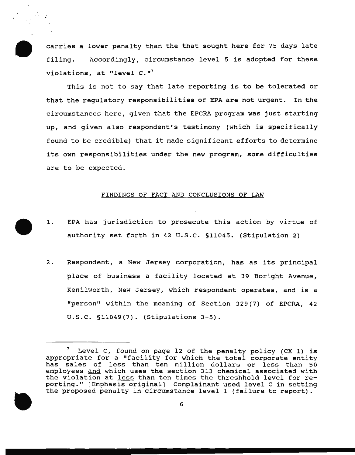carries a lower penalty than the that sought here for 75 days late filing. Accordingly, circumstance level 5 is adopted for these violations, at "level  $C.$ "<sup>7</sup>

This is not to say that late reporting is to be tolerated or that the regulatory responsibilities of EPA are not urgent. In the circumstances here, given that the EPCRA program was just starting up, and given also respondent's testimony (which is specifically found to be credible) that it made significant efforts to determine its own responsibilities under the new program, some difficulties are to be expected.

#### FINDINGS OF FACT AND CONCLUSIONS OF LAW

- 1. EPA has jurisdiction to prosecute this action by virtue of authority set forth in 42 u.s.c. §11045. (Stipulation 2)
- 2. Respondent, a New Jersey corporation, has as its principal place of business a facility located at 39 Boright Avenue, Kenilworth, New Jersey, which respondent operates, and is a "person" within the meaning of Section 329 (7) of EPCRA, 42 u.s.c. §11049(7). (Stipulations 3-5).



Level C, found on page 12 of the penalty policy (CX 1) is appropriate for a "facility for which the total corporate entity has sales of less than ten million dollars or less than 50 employees and which uses the section 313 chemical associated with the violation at less than ten times the threshhold level for reporting." [Emphasis original] Complainant used level C in setting the proposed penalty in circumstance level 1 (failure to report).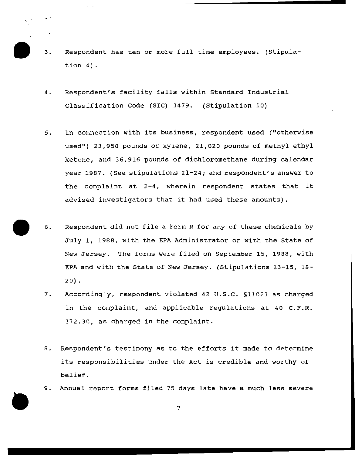- 3. Respondent has ten or more full time employees. (Stipulation 4}.
- 4. Respondent's facility falls within-standard Industrial Classification Code (SIC) 3479. (Stipulation 10)
- 5. In connection with its business, respondent used ("otherwise used") 23,950 pounds of xylene, 21,020 pounds of methyl ethyl ketone, and 36,916 pounds of dichloromethane during calendar year 1987. (See stipulations 21-24; and respondent's answer to the complaint at 2-4, wherein respondent states that it advised investigators that it had used these amounts).
- 6. Respondent did not file a Form R for any of these chemicals by July 1, 1988, with the EPA Administrator or with the State of New Jersey. The forms were filed on September 15, 1988, with EPA and with the State of New Jersey. (Stipulations 13-15, 18-  $20$ ).
- 7. Accordingly, respondent violated 42 u.s.c. §11023 as charged in the complaint, and applicable regulations at 40  $C.F.R.$ 372.30, as charged in the complaint.
- 8. Respondent's testimony as to the efforts it made to determine its responsibilities under the Act is credible and worthy of belief.
- 9. Annual report forms filed 75 days late have a much less severe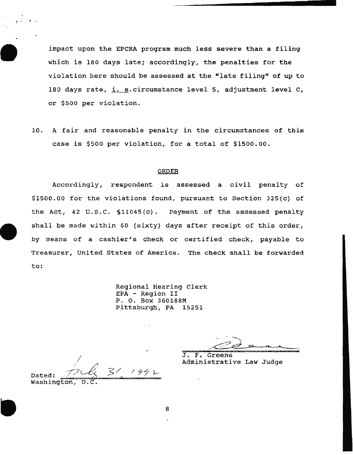impact upon the EPCRA program much less severe than a filing which is 180 days late; accordingly, the penalties for the violation here should be assessed at the "late filing" of up to 180 days rate, i. e. circumstance level 5, adjustment level C, or \$500 per violation.

10. A fair and reasonable penalty in the circumstances of this case is \$500 per violation, for a total of \$1500.00.

#### ORDER

Accordingly, respondent is assessed a civil penalty of \$1500.00 for the violations found, pursuant to Section 325(c} of the Act, 42 u.s.c. §1104S(c}. Payment of the assessed penalty shall be made within 60 (sixty} days after receipt 6f this order, by means of a cashier's check or certified check, payable to Treasurer, United States of America. The check shall be forwarded to:

> Regional Hearing Clerk EPA - Region II P. 0. Box 360188M Pittsburgh, PA

J. F. Greene

Administrative Law Judge

I Dated:  $m \leq 3!$  1992 Dated: 22<br>Washington,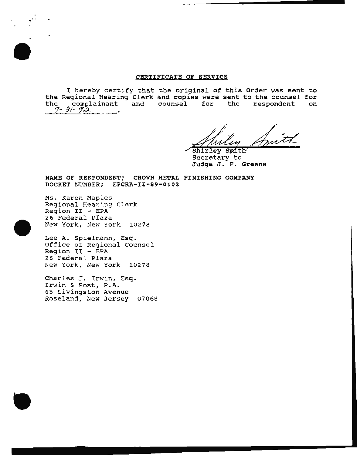### CERTIFICATE OF SERVICE

I hereby certify that the original of this Order was sent to the Regional Hearing Clerk and copies *were* sent to the counsel for the complainant and counsel for the respondent on z- 31- *zc;...* .

Shirley Smith

Secretary to Judge J. F. Greene

NAME OF RESPONDENT; CROWN METAL FINISHING COMPANY DOCKET NUMBER; EPCRA-II-89-0103

Ms. Karen Maples Regional Hearing Clerk  $Region II - EPA$ 26 Federal Piaza New York, New York 10278

 $\frac{1}{2}$ 

Lee A. Spielmann, Esq. Office of Regional Counsel  $Region II - EPA$ 26 Federal Plaza New York, New York 10278

Charles J. Irwin, Esq. Irwin & Post, P.A. 65 Livingston Avenue Roseland, New Jersey 07068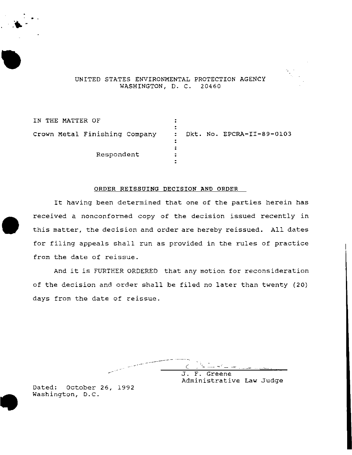

UNITED STATES ENVIRONMENTAL PROTECTION AGENCY WASHINGTON, D. C. 20460

IN THE MATTER OF  $\ddot{\cdot}$ crown Metal Finishing Company Dkt. No. EPCRA-II-89-0103  $\ddot{\cdot}$ ÷ Respondent  $\ddot{\cdot}$ 

#### ORDER REISSUING DECISION AND ORDER

It having been determined that one of the parties herein has received a nonconformed copy of the decision issued recently in this matter, the decision and order are hereby reissued. All dates for filing appeals shall run as provided in the rules of practice from the date of reissue.

And it is FURTHER ORDERED that any motion for reconsideration of the decision and order shall be filed no later than twenty (20) days from the date of reissue.

\_\_ .. -L--  $\epsilon$  )  $\epsilon$  .  $\pm$   $\epsilon$ - می<sub>ستان</sub> و " الله الله الله الله من " الله الله " الله " الله " الله " الله " الله " الله " الله " الله " الل J. F. Greene Administrative Law Judge

Dated: October 26, 1992 Washington, D.C.

 $\bullet$  -

..